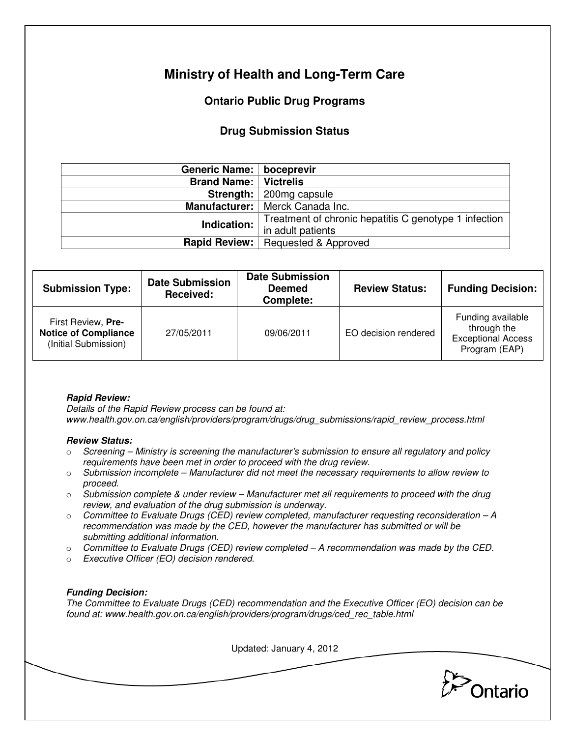# **Ministry of Health and Long-Term Care**

## **Ontario Public Drug Programs**

### **Drug Submission Status**

| Generic Name:   boceprevir     |                                                       |  |  |
|--------------------------------|-------------------------------------------------------|--|--|
| <b>Brand Name:   Victrelis</b> |                                                       |  |  |
|                                | <b>Strength:</b> $\vert$ 200mg capsule                |  |  |
|                                | Manufacturer:   Merck Canada Inc.                     |  |  |
| Indication:                    | Treatment of chronic hepatitis C genotype 1 infection |  |  |
|                                | in adult patients                                     |  |  |
| <b>Rapid Review:</b>           | Requested & Approved                                  |  |  |

| <b>Submission Type:</b>                                                   | <b>Date Submission</b><br>Received: | <b>Date Submission</b><br><b>Deemed</b><br>Complete: | <b>Review Status:</b> | <b>Funding Decision:</b>                                                       |
|---------------------------------------------------------------------------|-------------------------------------|------------------------------------------------------|-----------------------|--------------------------------------------------------------------------------|
| First Review, Pre-<br><b>Notice of Compliance</b><br>(Initial Submission) | 27/05/2011                          | 09/06/2011                                           | EO decision rendered  | Funding available<br>through the<br><b>Exceptional Access</b><br>Program (EAP) |

#### **Rapid Review:**

Details of the Rapid Review process can be found at: www.health.gov.on.ca/english/providers/program/drugs/drug\_submissions/rapid\_review\_process.html

#### **Review Status:**

- $\circ$  Screening Ministry is screening the manufacturer's submission to ensure all regulatory and policy requirements have been met in order to proceed with the drug review.
- $\circ$  Submission incomplete Manufacturer did not meet the necessary requirements to allow review to proceed.
- $\circ$  Submission complete & under review Manufacturer met all requirements to proceed with the drug review, and evaluation of the drug submission is underway.
- $\circ$  Committee to Evaluate Drugs (CED) review completed, manufacturer requesting reconsideration A recommendation was made by the CED, however the manufacturer has submitted or will be submitting additional information.
- $\circ$  Committee to Evaluate Drugs (CED) review completed  $-A$  recommendation was made by the CED.
- o Executive Officer (EO) decision rendered.

#### **Funding Decision:**

The Committee to Evaluate Drugs (CED) recommendation and the Executive Officer (EO) decision can be found at: www.health.gov.on.ca/english/providers/program/drugs/ced\_rec\_table.html

Updated: January 4, 2012